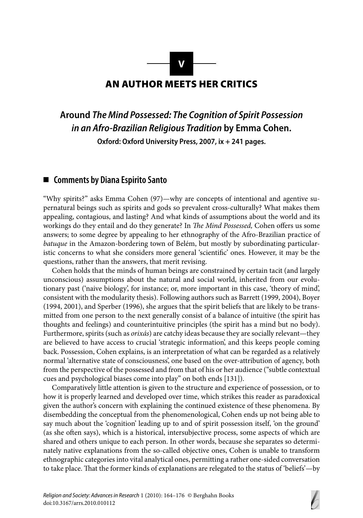# **AN AUTHOR MEETS HER CRITICS**

# Around The Mind Possessed: The Cognition of Spirit Possession in an Afro-Brazilian Religious Tradition by Emma Cohen.

Oxford: Oxford University Press, 2007, ix + 241 pages.

# ■ Comments by Diana Espirito Santo

"Why spirits?" asks Emma Cohen (97)—why are concepts of intentional and agentive supernatural beings such as spirits and gods so prevalent cross-culturally? What makes them appealing, contagious, and lasting? And what kinds of assumptions about the world and its workings do they entail and do they generate? In The Mind Possessed, Cohen offers us some answers; to some degree by appealing to her ethnography of the Afro-Brazilian practice of batuque in the Amazon-bordering town of Belém, but mostly by subordinating particularistic concerns to what she considers more general 'scientific' ones. However, it may be the questions, rather than the answers, that merit revising.

Cohen holds that the minds of human beings are constrained by certain tacit (and largely unconscious) assumptions about the natural and social world, inherited from our evolutionary past ('naive biology', for instance; or, more important in this case, 'theory of mind', consistent with the modularity thesis). Following authors such as Barrett (1999, 2004), Boyer (1994, 2001), and Sperber (1996), she argues that the spirit beliefs that are likely to be transmitted from one person to the next generally consist of a balance of intuitive (the spirit has thoughts and feelings) and counterintuitive principles (the spirit has a mind but no body). Furthermore, spirits (such as *orixás*) are catchy ideas because they are socially relevant—they are believed to have access to crucial 'strategic information', and this keeps people coming back. Possession, Cohen explains, is an interpretation of what can be regarded as a relatively normal 'alternative state of consciousness', one based on the over-attribution of agency, both from the perspective of the possessed and from that of his or her audience ("subtle contextual cues and psychological biases come into play" on both ends [131]).

Comparatively little attention is given to the structure and experience of possession, or to how it is properly learned and developed over time, which strikes this reader as paradoxical given the author's concern with explaining the continued existence of these phenomena. By disembedding the conceptual from the phenomenological, Cohen ends up not being able to say much about the 'cognition' leading up to and of spirit possession itself, 'on the ground' (as she often says), which is a historical, intersubjective process, some aspects of which are shared and others unique to each person. In other words, because she separates so determinately native explanations from the so-called objective ones, Cohen is unable to transform ethnographic categories into vital analytical ones, permitting a rather one-sided conversation to take place. That the former kinds of explanations are relegated to the status of 'beliefs'-by

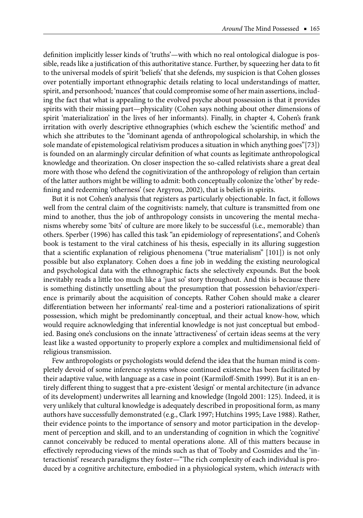definition implicitly lesser kinds of 'truths'—with which no real ontological dialogue is possible, reads like a justification of this authoritative stance. Further, by squeezing her data to fit to the universal models of spirit 'beliefs' that she defends, my suspicion is that Cohen glosses over potentially important ethnographic details relating to local understandings of matter, spirit, and personhood; 'nuances' that could compromise some of her main assertions, including the fact that what is appealing to the evolved psyche about possession is that it provides spirits with their missing part—physicality (Cohen says nothing about other dimensions of spirit 'materialization' in the lives of her informants). Finally, in chapter 4, Cohen's frank irritation with overly descriptive ethnographies (which eschew the 'scientific method' and which she attributes to the "dominant agenda of anthropological scholarship, in which the sole mandate of epistemological relativism produces a situation in which anything goes"[73]) is founded on an alarmingly circular definition of what counts as legitimate anthropological knowledge and theorization. On closer inspection the so-called relativists share a great deal more with those who defend the cognitivization of the anthropology of religion than certain of the latter authors might be willing to admit: both conceptually colonize the 'other' by redefining and redeeming 'otherness' (see Argyrou, 2002), that is beliefs in spirits.

But it is not Cohen's analysis that registers as particularly objectionable. In fact, it follows well from the central claim of the cognitivists: namely, that culture is transmitted from one mind to another, thus the job of anthropology consists in uncovering the mental mechanisms whereby some 'bits' of culture are more likely to be successful (i.e., memorable) than others. Sperber (1996) has called this task "an epidemiology of representations", and Cohen's book is testament to the viral catchiness of his thesis, especially in its alluring suggestion that a scientific explanation of religious phenomena ("true materialism" [101]) is not only possible but also explanatory. Cohen does a fine job in wedding the existing neurological and psychological data with the ethnographic facts she selectively expounds. But the book inevitably reads a little too much like a 'just so' story throughout. And this is because there is something distinctly unsettling about the presumption that possession behavior/experience is primarily about the acquisition of concepts. Rather Cohen should make a clearer differentiation between her informants' real-time and a posteriori rationalizations of spirit possession, which might be predominantly conceptual, and their actual know-how, which would require acknowledging that inferential knowledge is not just conceptual but embodied. Basing one's conclusions on the innate 'attractiveness' of certain ideas seems at the very least like a wasted opportunity to properly explore a complex and multidimensional field of religious transmission.

Few anthropologists or psychologists would defend the idea that the human mind is completely devoid of some inference systems whose continued existence has been facilitated by their adaptive value, with language as a case in point (Karmiloff-Smith 1999). But it is an entirely different thing to suggest that a pre-existent 'design' or mental architecture (in advance of its development) underwrites all learning and knowledge (Ingold 2001: 125). Indeed, it is very unlikely that cultural knowledge is adequately described in propositional form, as many authors have successfully demonstrated (e.g., Clark 1997; Hutchins 1995; Lave 1988). Rather, their evidence points to the importance of sensory and motor participation in the development of perception and skill, and to an understanding of cognition in which the 'cognitive' cannot conceivably be reduced to mental operations alone. All of this matters because in effectively reproducing views of the minds such as that of Tooby and Cosmides and the 'interactionist' research paradigms they foster-"The rich complexity of each individual is produced by a cognitive architecture, embodied in a physiological system, which interacts with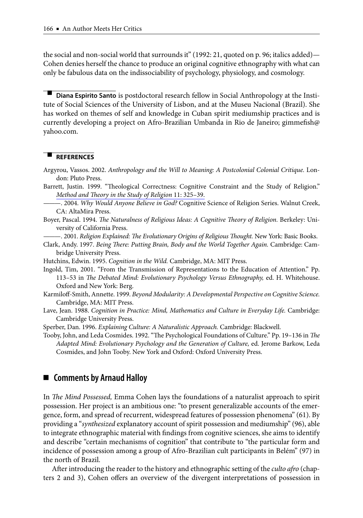the social and non-social world that surrounds it" (1992: 21, quoted on p. 96; italics added)— Cohen denies herself the chance to produce an original cognitive ethnography with what can only be fabulous data on the indissociability of psychology, physiology, and cosmology.

• Diana Espirito Santo is postdoctoral research fellow in Social Anthropology at the Institute of Social Sciences of the University of Lisbon, and at the Museu Nacional (Brazil). She has worked on themes of self and knowledge in Cuban spirit mediumship practices and is currently developing a project on Afro-Brazilian Umbanda in Rio de Janeiro; gimmefish@ yahoo.com.

#### **REFERENCES**

- Argyrou, Vassos. 2002. Anthropology and the Will to Meaning: A Postcolonial Colonial Critique. London: Pluto Press.
- Barrett, Justin. 1999. "Theological Correctness: Cognitive Constraint and the Study of Religion." Method and Theory in the Study of Religion 11: 325-39.
	- -. 2004. Why Would Anyone Believe in God? Cognitive Science of Religion Series. Walnut Creek, CA: AltaMira Press.
- Boyer, Pascal. 1994. The Naturalness of Religious Ideas: A Cognitive Theory of Religion. Berkeley: University of California Press.
	- —. 2001. Religion Explained: The Evolutionary Origins of Religious Thought. New York: Basic Books.
- Clark, Andy. 1997. Being There: Putting Brain, Body and the World Together Again. Cambridge: Cambridge University Press.
- Hutchins, Edwin. 1995. Cognition in the Wild. Cambridge, MA: MIT Press.
- Ingold, Tim, 2001. "From the Transmission of Representations to the Education of Attention." Pp. 113-53 in The Debated Mind: Evolutionary Psychology Versus Ethnography, ed. H. Whitehouse. Oxford and New York: Berg.
- Karmiloff-Smith, Annette. 1999. Beyond Modularity: A Developmental Perspective on Cognitive Science. Cambridge, MA: MIT Press.
- Lave, Jean. 1988. Cognition in Practice: Mind, Mathematics and Culture in Everyday Life. Cambridge: Cambridge University Press.
- Sperber, Dan. 1996. Explaining Culture: A Naturalistic Approach. Cambridge: Blackwell.
- Tooby, John, and Leda Cosmides. 1992. "The Psychological Foundations of Culture." Pp. 19-136 in The Adapted Mind: Evolutionary Psychology and the Generation of Culture, ed. Jerome Barkow, Leda Cosmides, and John Tooby. New York and Oxford: Oxford University Press.

## ■ Comments by Arnaud Halloy

In The Mind Possessed, Emma Cohen lays the foundations of a naturalist approach to spirit possession. Her project is an ambitious one: "to present generalizable accounts of the emergence, form, and spread of recurrent, widespread features of possession phenomena" (61). By providing a "synthesized explanatory account of spirit possession and mediumship" (96), able to integrate ethnographic material with findings from cognitive sciences, she aims to identify and describe "certain mechanisms of cognition" that contribute to "the particular form and incidence of possession among a group of Afro-Brazilian cult participants in Belém" (97) in the north of Brazil.

After introducing the reader to the history and ethnographic setting of the *culto afro* (chapters 2 and 3), Cohen offers an overview of the divergent interpretations of possession in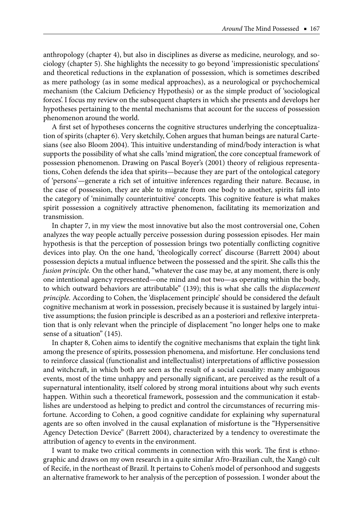anthropology (chapter 4), but also in disciplines as diverse as medicine, neurology, and sociology (chapter 5). She highlights the necessity to go beyond 'impressionistic speculations' and theoretical reductions in the explanation of possession, which is sometimes described as mere pathology (as in some medical approaches), as a neurological or psychochemical mechanism (the Calcium Deficiency Hypothesis) or as the simple product of 'sociological forces'. I focus my review on the subsequent chapters in which she presents and develops her hypotheses pertaining to the mental mechanisms that account for the success of possession phenomenon around the world.

A first set of hypotheses concerns the cognitive structures underlying the conceptualization of spirits (chapter 6). Very sketchily, Cohen argues that human beings are natural Cartesians (see also Bloom 2004). This intuitive understanding of mind/body interaction is what supports the possibility of what she calls 'mind migration', the core conceptual framework of possession phenomenon. Drawing on Pascal Boyer's (2001) theory of religious representations, Cohen defends the idea that spirits-because they are part of the ontological category of 'persons'—generate a rich set of intuitive inferences regarding their nature. Because, in the case of possession, they are able to migrate from one body to another, spirits fall into the category of 'minimally counterintuitive' concepts. This cognitive feature is what makes spirit possession a cognitively attractive phenomenon, facilitating its memorization and transmission.

In chapter 7, in my view the most innovative but also the most controversial one, Cohen analyzes the way people actually perceive possession during possession episodes. Her main hypothesis is that the perception of possession brings two potentially conflicting cognitive devices into play. On the one hand, 'theologically correct' discourse (Barrett 2004) about possession depicts a mutual influence between the possessed and the spirit. She calls this the fusion principle. On the other hand, "whatever the case may be, at any moment, there is only one intentional agency represented—one mind and not two—as operating within the body, to which outward behaviors are attributable" (139); this is what she calls the displacement principle. According to Cohen, the 'displacement principle' should be considered the default cognitive mechanism at work in possession, precisely because it is sustained by largely intuitive assumptions; the fusion principle is described as an a posteriori and reflexive interpretation that is only relevant when the principle of displacement "no longer helps one to make sense of a situation" (145).

In chapter 8, Cohen aims to identify the cognitive mechanisms that explain the tight link among the presence of spirits, possession phenomena, and misfortune. Her conclusions tend to reinforce classical (functionalist and intellectualist) interpretations of afflictive possession and witchcraft, in which both are seen as the result of a social causality: many ambiguous events, most of the time unhappy and personally significant, are perceived as the result of a supernatural intentionality, itself colored by strong moral intuitions about why such events happen. Within such a theoretical framework, possession and the communication it establishes are understood as helping to predict and control the circumstances of recurring misfortune. According to Cohen, a good cognitive candidate for explaining why supernatural agents are so often involved in the causal explanation of misfortune is the "Hypersensitive" Agency Detection Device" (Barrett 2004), characterized by a tendency to overestimate the attribution of agency to events in the environment.

I want to make two critical comments in connection with this work. The first is ethnographic and draws on my own research in a quite similar Afro-Brazilian cult, the Xangô cult of Recife, in the northeast of Brazil. It pertains to Cohen's model of personhood and suggests an alternative framework to her analysis of the perception of possession. I wonder about the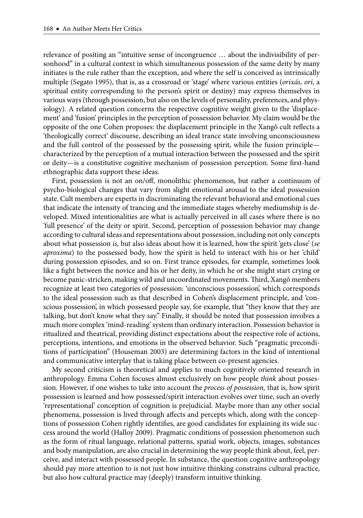relevance of positing an "intuitive sense of incongruence ... about the indivisibility of personhood" in a cultural context in which simultaneous possession of the same deity by many initiates is the rule rather than the exception, and where the self is conceived as intrinsically multiple (Segato 1995), that is, as a crossroad or 'stage' where various entities (orixás, ori, a spiritual entity corresponding to the person's spirit or destiny) may express themselves in various ways (through possession, but also on the levels of personality, preferences, and physiology). A related question concerns the respective cognitive weight given to the 'displacement' and 'fusion' principles in the perception of possession behavior. My claim would be the opposite of the one Cohen proposes: the displacement principle in the Xangô cult reflects a 'theologically correct' discourse, describing an ideal trance state involving unconsciousness and the full control of the possessed by the possessing spirit, while the fusion principlecharacterized by the perception of a mutual interaction between the possessed and the spirit or deity-is a constitutive cognitive mechanism of possession perception. Some first-hand ethnographic data support these ideas.

First, possession is not an on/off, monolithic phenomenon, but rather a continuum of psycho-biological changes that vary from slight emotional arousal to the ideal possession state. Cult members are experts in discriminating the relevant behavioral and emotional cues that indicate the intensity of trancing and the immediate stages whereby mediumship is developed. Mixed intentionalities are what is actually perceived in all cases where there is no 'full presence' of the deity or spirit. Second, perception of possession behavior may change according to cultural ideas and representations about possession, including not only concepts about what possession is, but also ideas about how it is learned, how the spirit 'gets close' (se aproxima) to the possessed body, how the spirit is held to interact with his or her 'child' during possession episodes, and so on. First trance episodes, for example, sometimes look like a fight between the novice and his or her deity, in which he or she might start crying or become panic-stricken, making wild and uncoordinated movements. Third, Xangô members recognize at least two categories of possession: 'unconscious possession', which corresponds to the ideal possession such as that described in Cohen's displacement principle, and 'conscious possession, in which possessed people say, for example, that "they know that they are talking, but don't know what they say." Finally, it should be noted that possession involves a much more complex 'mind-reading' system than ordinary interaction. Possession behavior is ritualized and theatrical, providing distinct expectations about the respective role of actions, perceptions, intentions, and emotions in the observed behavior. Such "pragmatic preconditions of participation" (Houseman 2003) are determining factors in the kind of intentional and communicative interplay that is taking place between co-present agencies.

My second criticism is theoretical and applies to much cognitively oriented research in anthropology. Emma Cohen focuses almost exclusively on how people think about possession. However, if one wishes to take into account the process of possession, that is, how spirit possession is learned and how possessed/spirit interaction evolves over time, such an overly 'representational' conception of cognition is prejudicial. Maybe more than any other social phenomena, possession is lived through affects and percepts which, along with the conceptions of possession Cohen rightly identifies, are good candidates for explaining its wide success around the world (Halloy 2009). Pragmatic conditions of possession phenomenon such as the form of ritual language, relational patterns, spatial work, objects, images, substances and body manipulation, are also crucial in determining the way people think about, feel, perceive, and interact with possessed people. In substance, the question cognitive anthropology should pay more attention to is not just how intuitive thinking constrains cultural practice, but also how cultural practice may (deeply) transform intuitive thinking.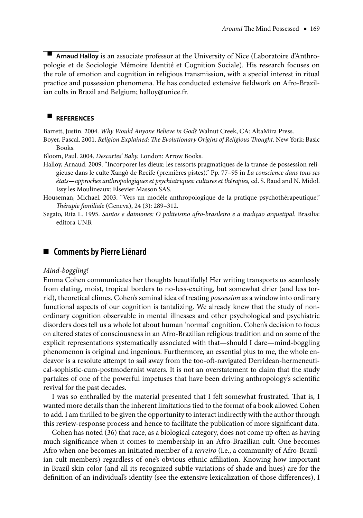Arnaud Halloy is an associate professor at the University of Nice (Laboratoire d'Anthropologie et de Sociologie Mémoire Identité et Cognition Sociale). His research focuses on the role of emotion and cognition in religious transmission, with a special interest in ritual practice and possession phenomena. He has conducted extensive fieldwork on Afro-Brazilian cults in Brazil and Belgium; halloy@unice.fr.

#### **REFERENCES**

Barrett, Justin. 2004. Why Would Anyone Believe in God? Walnut Creek, CA: AltaMira Press.

Boyer, Pascal. 2001. Religion Explained: The Evolutionary Origins of Religious Thought. New York: Basic Books.

Bloom, Paul. 2004. Descartes' Baby. London: Arrow Books.

- Halloy, Arnaud. 2009. "Incorporer les dieux: les ressorts pragmatiques de la transe de possession religieuse dans le culte Xangô de Recife (premières pistes)." Pp. 77-95 in La conscience dans tous ses états—approches anthropologiques et psychiatriques: cultures et thérapies, ed. S. Baud and N. Midol. Issy les Moulineaux: Elsevier Masson SAS.
- Houseman, Michael. 2003. "Vers un modèle anthropologique de la pratique psychothérapeutique." Thérapie familiale (Geneva), 24 (3): 289-312.
- Segato, Rita L. 1995. Santos e daimones: O politeismo afro-brasileiro e a tradiçao arquetipal. Brasilia: editora UNB.

### ■ Comments by Pierre Liénard

### Mind-boggling!

Emma Cohen communicates her thoughts beautifully! Her writing transports us seamlessly from elating, moist, tropical borders to no-less-exciting, but somewhat drier (and less torrid), theoretical climes. Cohen's seminal idea of treating possession as a window into ordinary functional aspects of our cognition is tantalizing. We already knew that the study of nonordinary cognition observable in mental illnesses and other psychological and psychiatric disorders does tell us a whole lot about human 'normal' cognition. Cohen's decision to focus on altered states of consciousness in an Afro-Brazilian religious tradition and on some of the explicit representations systematically associated with that-should I dare-mind-boggling phenomenon is original and ingenious. Furthermore, an essential plus to me, the whole endeavor is a resolute attempt to sail away from the too-oft-navigated Derridean-hermeneutical-sophistic-cum-postmodernist waters. It is not an overstatement to claim that the study partakes of one of the powerful impetuses that have been driving anthropology's scientific revival for the past decades.

I was so enthralled by the material presented that I felt somewhat frustrated. That is, I wanted more details than the inherent limitations tied to the format of a book allowed Cohen to add. I am thrilled to be given the opportunity to interact indirectly with the author through this review-response process and hence to facilitate the publication of more significant data.

Cohen has noted (36) that race, as a biological category, does not come up often as having much significance when it comes to membership in an Afro-Brazilian cult. One becomes Afro when one becomes an initiated member of a terreiro (i.e., a community of Afro-Brazilian cult members) regardless of one's obvious ethnic affiliation. Knowing how important in Brazil skin color (and all its recognized subtle variations of shade and hues) are for the definition of an individual's identity (see the extensive lexicalization of those differences), I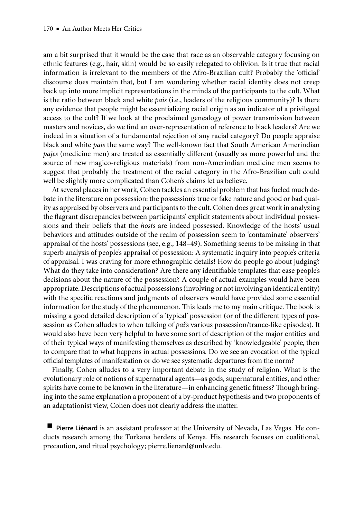am a bit surprised that it would be the case that race as an observable category focusing on ethnic features (e.g., hair, skin) would be so easily relegated to oblivion. Is it true that racial information is irrelevant to the members of the Afro-Brazilian cult? Probably the 'official' discourse does maintain that, but I am wondering whether racial identity does not creep back up into more implicit representations in the minds of the participants to the cult. What is the ratio between black and white pais (i.e., leaders of the religious community)? Is there any evidence that people might be essentializing racial origin as an indicator of a privileged access to the cult? If we look at the proclaimed genealogy of power transmission between masters and novices, do we find an over-representation of reference to black leaders? Are we indeed in a situation of a fundamental rejection of any racial category? Do people appraise black and white pais the same way? The well-known fact that South American Amerindian pajes (medicine men) are treated as essentially different (usually as more powerful and the source of new magico-religious materials) from non-Amerindian medicine men seems to suggest that probably the treatment of the racial category in the Afro-Brazilian cult could well be slightly more complicated than Cohen's claims let us believe.

At several places in her work, Cohen tackles an essential problem that has fueled much debate in the literature on possession: the possession's true or fake nature and good or bad quality as appraised by observers and participants to the cult. Cohen does great work in analyzing the flagrant discrepancies between participants' explicit statements about individual possessions and their beliefs that the *hosts* are indeed possessed. Knowledge of the hosts' usual behaviors and attitudes outside of the realm of possession seem to 'contaminate' observers' appraisal of the hosts' possessions (see, e.g., 148-49). Something seems to be missing in that superb analysis of people's appraisal of possession: A systematic inquiry into people's criteria of appraisal. I was craving for more ethnographic details! How do people go about judging? What do they take into consideration? Are there any identifiable templates that ease people's decisions about the nature of the possession? A couple of actual examples would have been appropriate. Descriptions of actual possessions (involving or not involving an identical entity) with the specific reactions and judgments of observers would have provided some essential information for the study of the phenomenon. This leads me to my main critique. The book is missing a good detailed description of a 'typical' possession (or of the different types of possession as Cohen alludes to when talking of pai's various possession/trance-like episodes). It would also have been very helpful to have some sort of description of the major entities and of their typical ways of manifesting themselves as described by 'knowledgeable' people, then to compare that to what happens in actual possessions. Do we see an evocation of the typical official templates of manifestation or do we see systematic departures from the norm?

Finally, Cohen alludes to a very important debate in the study of religion. What is the evolutionary role of notions of supernatural agents-as gods, supernatural entities, and other spirits have come to be known in the literature—in enhancing genetic fitness? Though bringing into the same explanation a proponent of a by-product hypothesis and two proponents of an adaptationist view, Cohen does not clearly address the matter.

Pierre Liénard is an assistant professor at the University of Nevada, Las Vegas. He conducts research among the Turkana herders of Kenya. His research focuses on coalitional, precaution, and ritual psychology; pierre.lienard@unlv.edu.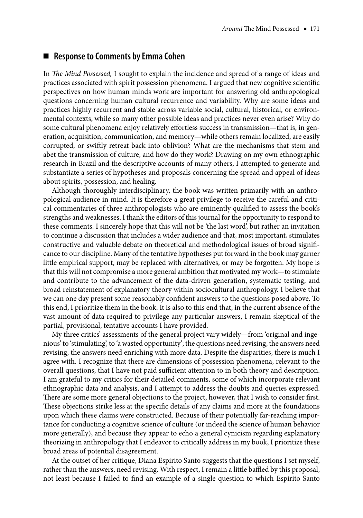### Response to Comments by Emma Cohen

In The Mind Possessed, I sought to explain the incidence and spread of a range of ideas and practices associated with spirit possession phenomena. I argued that new cognitive scientific perspectives on how human minds work are important for answering old anthropological questions concerning human cultural recurrence and variability. Why are some ideas and practices highly recurrent and stable across variable social, cultural, historical, or environmental contexts, while so many other possible ideas and practices never even arise? Why do some cultural phenomena enjoy relatively effortless success in transmission—that is, in generation, acquisition, communication, and memory—while others remain localized, are easily corrupted, or swiftly retreat back into oblivion? What are the mechanisms that stem and abet the transmission of culture, and how do they work? Drawing on my own ethnographic research in Brazil and the descriptive accounts of many others, I attempted to generate and substantiate a series of hypotheses and proposals concerning the spread and appeal of ideas about spirits, possession, and healing.

Although thoroughly interdisciplinary, the book was written primarily with an anthropological audience in mind. It is therefore a great privilege to receive the careful and critical commentaries of three anthropologists who are eminently qualified to assess the book's strengths and weaknesses. I thank the editors of this journal for the opportunity to respond to these comments. I sincerely hope that this will not be 'the last word', but rather an invitation to continue a discussion that includes a wider audience and that, most important, stimulates constructive and valuable debate on theoretical and methodological issues of broad significance to our discipline. Many of the tentative hypotheses put forward in the book may garner little empirical support, may be replaced with alternatives, or may be forgotten. My hope is that this will not compromise a more general ambition that motivated my work-to stimulate and contribute to the advancement of the data-driven generation, systematic testing, and broad reinstatement of explanatory theory within sociocultural anthropology. I believe that we can one day present some reasonably confident answers to the questions posed above. To this end, I prioritize them in the book. It is also to this end that, in the current absence of the vast amount of data required to privilege any particular answers, I remain skeptical of the partial, provisional, tentative accounts I have provided.

My three critics' assessments of the general project vary widely-from 'original and ingenious' to 'stimulating', to 'a wasted opportunity'; the questions need revising, the answers need revising, the answers need enriching with more data. Despite the disparities, there is much I agree with. I recognize that there are dimensions of possession phenomena, relevant to the overall questions, that I have not paid sufficient attention to in both theory and description. I am grateful to my critics for their detailed comments, some of which incorporate relevant ethnographic data and analysis, and I attempt to address the doubts and queries expressed. There are some more general objections to the project, however, that I wish to consider first. These objections strike less at the specific details of any claims and more at the foundations upon which these claims were constructed. Because of their potentially far-reaching importance for conducting a cognitive science of culture (or indeed the science of human behavior more generally), and because they appear to echo a general cynicism regarding explanatory theorizing in anthropology that I endeavor to critically address in my book, I prioritize these broad areas of potential disagreement.

At the outset of her critique, Diana Espirito Santo suggests that the questions I set myself, rather than the answers, need revising. With respect, I remain a little baffled by this proposal, not least because I failed to find an example of a single question to which Espirito Santo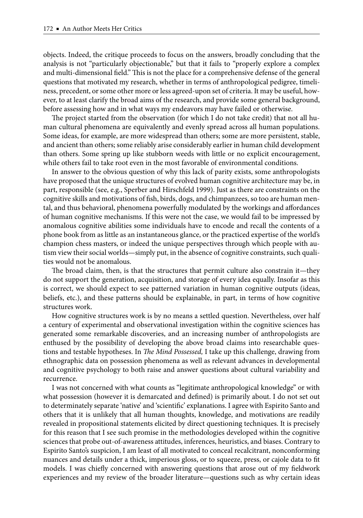objects. Indeed, the critique proceeds to focus on the answers, broadly concluding that the analysis is not "particularly objectionable," but that it fails to "properly explore a complex and multi-dimensional field." This is not the place for a comprehensive defense of the general questions that motivated my research, whether in terms of anthropological pedigree, timeliness, precedent, or some other more or less agreed-upon set of criteria. It may be useful, however, to at least clarify the broad aims of the research, and provide some general background, before assessing how and in what ways my endeavors may have failed or otherwise.

The project started from the observation (for which I do not take credit) that not all human cultural phenomena are equivalently and evenly spread across all human populations. Some ideas, for example, are more widespread than others; some are more persistent, stable, and ancient than others; some reliably arise considerably earlier in human child development than others. Some spring up like stubborn weeds with little or no explicit encouragement, while others fail to take root even in the most favorable of environmental conditions.

In answer to the obvious question of why this lack of parity exists, some anthropologists have proposed that the unique structures of evolved human cognitive architecture may be, in part, responsible (see, e.g., Sperber and Hirschfeld 1999). Just as there are constraints on the cognitive skills and motivations of fish, birds, dogs, and chimpanzees, so too are human mental, and thus behavioral, phenomena powerfully modulated by the workings and affordances of human cognitive mechanisms. If this were not the case, we would fail to be impressed by anomalous cognitive abilities some individuals have to encode and recall the contents of a phone book from as little as an instantaneous glance, or the practiced expertise of the world's champion chess masters, or indeed the unique perspectives through which people with autism view their social worlds—simply put, in the absence of cognitive constraints, such qualities would not be anomalous.

The broad claim, then, is that the structures that permit culture also constrain it-they do not support the generation, acquisition, and storage of every idea equally. Insofar as this is correct, we should expect to see patterned variation in human cognitive outputs (ideas, beliefs, etc.), and these patterns should be explainable, in part, in terms of how cognitive structures work.

How cognitive structures work is by no means a settled question. Nevertheless, over half a century of experimental and observational investigation within the cognitive sciences has generated some remarkable discoveries, and an increasing number of anthropologists are enthused by the possibility of developing the above broad claims into researchable questions and testable hypotheses. In The Mind Possessed, I take up this challenge, drawing from ethnographic data on possession phenomena as well as relevant advances in developmental and cognitive psychology to both raise and answer questions about cultural variability and recurrence.

I was not concerned with what counts as "legitimate anthropological knowledge" or with what possession (however it is demarcated and defined) is primarily about. I do not set out to determinately separate 'native' and 'scientific' explanations. I agree with Espirito Santo and others that it is unlikely that all human thoughts, knowledge, and motivations are readily revealed in propositional statements elicited by direct questioning techniques. It is precisely for this reason that I see such promise in the methodologies developed within the cognitive sciences that probe out-of-awareness attitudes, inferences, heuristics, and biases. Contrary to Espirito Santo's suspicion, I am least of all motivated to conceal recalcitrant, nonconforming nuances and details under a thick, imperious gloss, or to squeeze, press, or cajole data to fit models. I was chiefly concerned with answering questions that arose out of my fieldwork experiences and my review of the broader literature-questions such as why certain ideas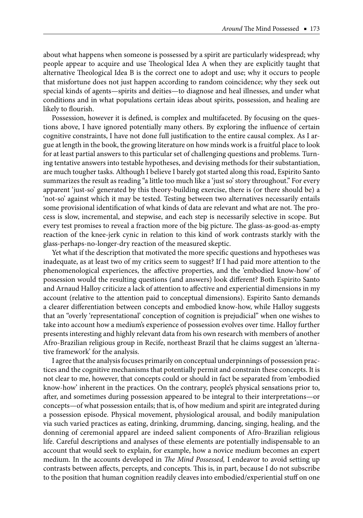about what happens when someone is possessed by a spirit are particularly widespread; why people appear to acquire and use Theological Idea A when they are explicitly taught that alternative Theological Idea B is the correct one to adopt and use; why it occurs to people that misfortune does not just happen according to random coincidence; why they seek out special kinds of agents-spirits and deities-to diagnose and heal illnesses, and under what conditions and in what populations certain ideas about spirits, possession, and healing are likely to flourish.

Possession, however it is defined, is complex and multifaceted. By focusing on the questions above, I have ignored potentially many others. By exploring the influence of certain cognitive constraints, I have not done full justification to the entire causal complex. As I argue at length in the book, the growing literature on how minds work is a fruitful place to look for at least partial answers to this particular set of challenging questions and problems. Turning tentative answers into testable hypotheses, and devising methods for their substantiation, are much tougher tasks. Although I believe I barely got started along this road, Espirito Santo summarizes the result as reading "a little too much like a 'just so' story throughout." For every apparent 'just-so' generated by this theory-building exercise, there is (or there should be) a 'not-so' against which it may be tested. Testing between two alternatives necessarily entails some provisional identification of what kinds of data are relevant and what are not. The process is slow, incremental, and stepwise, and each step is necessarily selective in scope. But every test promises to reveal a fraction more of the big picture. The glass-as-good-as-empty reaction of the knee-jerk cynic in relation to this kind of work contrasts starkly with the glass-perhaps-no-longer-dry reaction of the measured skeptic.

Yet what if the description that motivated the more specific questions and hypotheses was inadequate, as at least two of my critics seem to suggest? If I had paid more attention to the phenomenological experiences, the affective properties, and the 'embodied know-how' of possession would the resulting questions (and answers) look different? Both Espirito Santo and Arnaud Halloy criticize a lack of attention to affective and experiential dimensions in my account (relative to the attention paid to conceptual dimensions). Espirito Santo demands a clearer differentiation between concepts and embodied know-how, while Halloy suggests that an "overly 'representational' conception of cognition is prejudicial" when one wishes to take into account how a medium's experience of possession evolves over time. Halloy further presents interesting and highly relevant data from his own research with members of another Afro-Brazilian religious group in Recife, northeast Brazil that he claims suggest an 'alternative framework' for the analysis.

I agree that the analysis focuses primarily on conceptual underpinnings of possession practices and the cognitive mechanisms that potentially permit and constrain these concepts. It is not clear to me, however, that concepts could or should in fact be separated from 'embodied know-how' inherent in the practices. On the contrary, people's physical sensations prior to, after, and sometimes during possession appeared to be integral to their interpretations—or concepts-of what possession entails; that is, of how medium and spirit are integrated during a possession episode. Physical movement, physiological arousal, and bodily manipulation via such varied practices as eating, drinking, drumming, dancing, singing, healing, and the donning of ceremonial apparel are indeed salient components of Afro-Brazilian religious life. Careful descriptions and analyses of these elements are potentially indispensable to an account that would seek to explain, for example, how a novice medium becomes an expert medium. In the accounts developed in The Mind Possessed, I endeavor to avoid setting up contrasts between affects, percepts, and concepts. This is, in part, because I do not subscribe to the position that human cognition readily cleaves into embodied/experiential stuff on one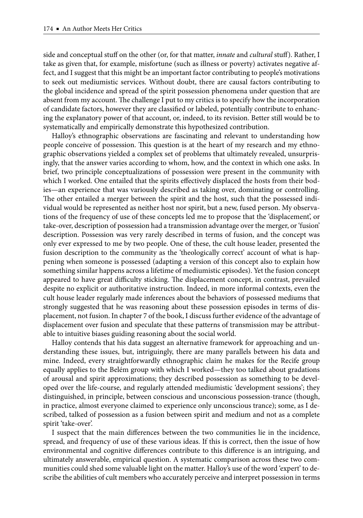side and conceptual stuff on the other (or, for that matter, innate and cultural stuff). Rather, I take as given that, for example, misfortune (such as illness or poverty) activates negative affect, and I suggest that this might be an important factor contributing to people's motivations to seek out mediumistic services. Without doubt, there are causal factors contributing to the global incidence and spread of the spirit possession phenomena under question that are absent from my account. The challenge I put to my critics is to specify how the incorporation of candidate factors, however they are classified or labeled, potentially contribute to enhancing the explanatory power of that account, or, indeed, to its revision. Better still would be to systematically and empirically demonstrate this hypothesized contribution.

Halloy's ethnographic observations are fascinating and relevant to understanding how people conceive of possession. This question is at the heart of my research and my ethnographic observations yielded a complex set of problems that ultimately revealed, unsurprisingly, that the answer varies according to whom, how, and the context in which one asks. In brief, two principle conceptualizations of possession were present in the community with which I worked. One entailed that the spirits effectively displaced the hosts from their bodies-an experience that was variously described as taking over, dominating or controlling. The other entailed a merger between the spirit and the host, such that the possessed individual would be represented as neither host nor spirit, but a new, fused person. My observations of the frequency of use of these concepts led me to propose that the 'displacement', or take-over, description of possession had a transmission advantage over the merger, or 'fusion' description. Possession was very rarely described in terms of fusion, and the concept was only ever expressed to me by two people. One of these, the cult house leader, presented the fusion description to the community as the 'theologically correct' account of what is happening when someone is possessed (adapting a version of this concept also to explain how something similar happens across a lifetime of mediumistic episodes). Yet the fusion concept appeared to have great difficulty sticking. The displacement concept, in contrast, prevailed despite no explicit or authoritative instruction. Indeed, in more informal contexts, even the cult house leader regularly made inferences about the behaviors of possessed mediums that strongly suggested that he was reasoning about these possession episodes in terms of displacement, not fusion. In chapter 7 of the book, I discuss further evidence of the advantage of displacement over fusion and speculate that these patterns of transmission may be attributable to intuitive biases guiding reasoning about the social world.

Halloy contends that his data suggest an alternative framework for approaching and understanding these issues, but, intriguingly, there are many parallels between his data and mine. Indeed, every straightforwardly ethnographic claim he makes for the Recife group equally applies to the Belém group with which I worked—they too talked about gradations of arousal and spirit approximations; they described possession as something to be developed over the life-course, and regularly attended mediumistic 'development sessions'; they distinguished, in principle, between conscious and unconscious possession-trance (though, in practice, almost everyone claimed to experience only unconscious trance); some, as I described, talked of possession as a fusion between spirit and medium and not as a complete spirit 'take-over'.

I suspect that the main differences between the two communities lie in the incidence, spread, and frequency of use of these various ideas. If this is correct, then the issue of how environmental and cognitive differences contribute to this difference is an intriguing, and ultimately answerable, empirical question. A systematic comparison across these two communities could shed some valuable light on the matter. Halloy's use of the word 'expert' to describe the abilities of cult members who accurately perceive and interpret possession in terms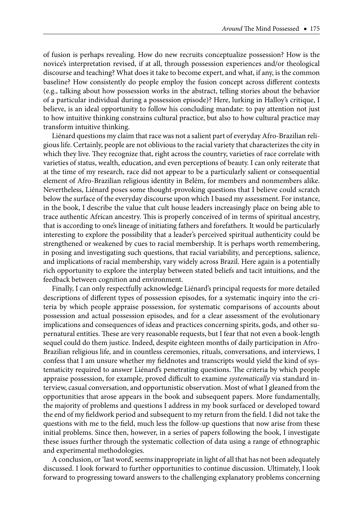of fusion is perhaps revealing. How do new recruits conceptualize possession? How is the novice's interpretation revised, if at all, through possession experiences and/or theological discourse and teaching? What does it take to become expert, and what, if any, is the common baseline? How consistently do people employ the fusion concept across different contexts (e.g., talking about how possession works in the abstract, telling stories about the behavior of a particular individual during a possession episode)? Here, lurking in Halloy's critique, I believe, is an ideal opportunity to follow his concluding mandate: to pay attention not just to how intuitive thinking constrains cultural practice, but also to how cultural practice may transform intuitive thinking.

Liénard questions my claim that race was not a salient part of everyday Afro-Brazilian religious life. Certainly, people are not oblivious to the racial variety that characterizes the city in which they live. They recognize that, right across the country, varieties of race correlate with varieties of status, wealth, education, and even perceptions of beauty. I can only reiterate that at the time of my research, race did not appear to be a particularly salient or consequential element of Afro-Brazilian religious identity in Belém, for members and nonmembers alike. Nevertheless, Liénard poses some thought-provoking questions that I believe could scratch below the surface of the everyday discourse upon which I based my assessment. For instance, in the book, I describe the value that cult house leaders increasingly place on being able to trace authentic African ancestry. This is properly conceived of in terms of spiritual ancestry, that is according to one's lineage of initiating fathers and forefathers. It would be particularly interesting to explore the possibility that a leader's perceived spiritual authenticity could be strengthened or weakened by cues to racial membership. It is perhaps worth remembering, in posing and investigating such questions, that racial variability, and perceptions, salience, and implications of racial membership, vary widely across Brazil. Here again is a potentially rich opportunity to explore the interplay between stated beliefs and tacit intuitions, and the feedback between cognition and environment.

Finally, I can only respectfully acknowledge Liénard's principal requests for more detailed descriptions of different types of possession episodes, for a systematic inquiry into the criteria by which people appraise possession, for systematic comparisons of accounts about possession and actual possession episodes, and for a clear assessment of the evolutionary implications and consequences of ideas and practices concerning spirits, gods, and other supernatural entities. These are very reasonable requests, but I fear that not even a book-length sequel could do them justice. Indeed, despite eighteen months of daily participation in Afro-Brazilian religious life, and in countless ceremonies, rituals, conversations, and interviews, I confess that I am unsure whether my fieldnotes and transcripts would yield the kind of systematicity required to answer Liénard's penetrating questions. The criteria by which people appraise possession, for example, proved difficult to examine systematically via standard interview, casual conversation, and opportunistic observation. Most of what I gleaned from the opportunities that arose appears in the book and subsequent papers. More fundamentally, the majority of problems and questions I address in my book surfaced or developed toward the end of my fieldwork period and subsequent to my return from the field. I did not take the questions with me to the field, much less the follow-up questions that now arise from these initial problems. Since then, however, in a series of papers following the book, I investigate these issues further through the systematic collection of data using a range of ethnographic and experimental methodologies.

A conclusion, or 'last word', seems inappropriate in light of all that has not been adequately discussed. I look forward to further opportunities to continue discussion. Ultimately, I look forward to progressing toward answers to the challenging explanatory problems concerning